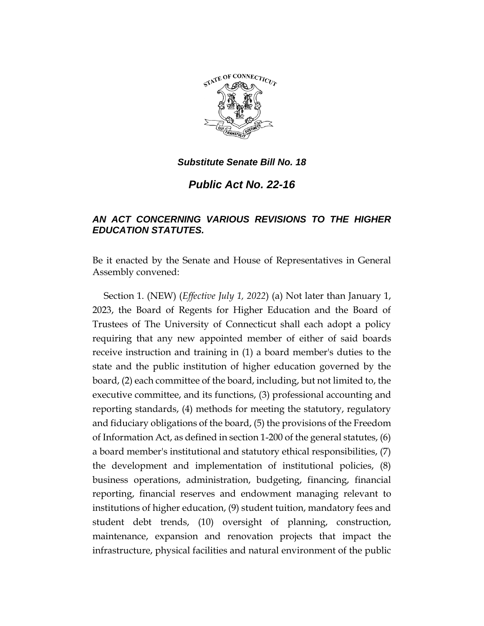

*Public Act No. 22-16*

## *AN ACT CONCERNING VARIOUS REVISIONS TO THE HIGHER EDUCATION STATUTES.*

Be it enacted by the Senate and House of Representatives in General Assembly convened:

Section 1. (NEW) (*Effective July 1, 2022*) (a) Not later than January 1, 2023, the Board of Regents for Higher Education and the Board of Trustees of The University of Connecticut shall each adopt a policy requiring that any new appointed member of either of said boards receive instruction and training in (1) a board member's duties to the state and the public institution of higher education governed by the board, (2) each committee of the board, including, but not limited to, the executive committee, and its functions, (3) professional accounting and reporting standards, (4) methods for meeting the statutory, regulatory and fiduciary obligations of the board, (5) the provisions of the Freedom of Information Act, as defined in section 1-200 of the general statutes, (6) a board member's institutional and statutory ethical responsibilities, (7) the development and implementation of institutional policies, (8) business operations, administration, budgeting, financing, financial reporting, financial reserves and endowment managing relevant to institutions of higher education, (9) student tuition, mandatory fees and student debt trends, (10) oversight of planning, construction, maintenance, expansion and renovation projects that impact the infrastructure, physical facilities and natural environment of the public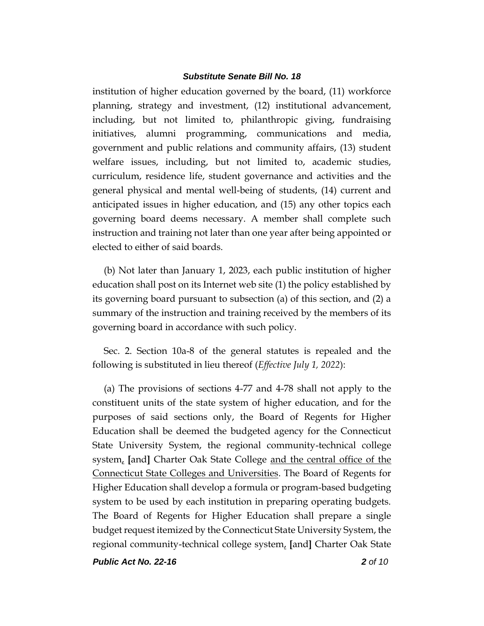institution of higher education governed by the board, (11) workforce planning, strategy and investment, (12) institutional advancement, including, but not limited to, philanthropic giving, fundraising initiatives, alumni programming, communications and media, government and public relations and community affairs, (13) student welfare issues, including, but not limited to, academic studies, curriculum, residence life, student governance and activities and the general physical and mental well-being of students, (14) current and anticipated issues in higher education, and (15) any other topics each governing board deems necessary. A member shall complete such instruction and training not later than one year after being appointed or elected to either of said boards.

(b) Not later than January 1, 2023, each public institution of higher education shall post on its Internet web site (1) the policy established by its governing board pursuant to subsection (a) of this section, and (2) a summary of the instruction and training received by the members of its governing board in accordance with such policy.

Sec. 2. Section 10a-8 of the general statutes is repealed and the following is substituted in lieu thereof (*Effective July 1, 2022*):

(a) The provisions of sections 4-77 and 4-78 shall not apply to the constituent units of the state system of higher education, and for the purposes of said sections only, the Board of Regents for Higher Education shall be deemed the budgeted agency for the Connecticut State University System, the regional community-technical college system, **[**and**]** Charter Oak State College and the central office of the Connecticut State Colleges and Universities. The Board of Regents for Higher Education shall develop a formula or program-based budgeting system to be used by each institution in preparing operating budgets. The Board of Regents for Higher Education shall prepare a single budget request itemized by the Connecticut State University System, the regional community-technical college system, **[**and**]** Charter Oak State

*Public Act No. 22-16 2 of 10*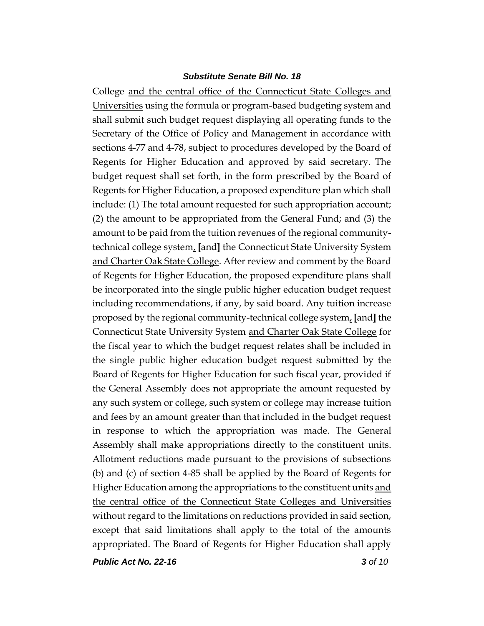College and the central office of the Connecticut State Colleges and Universities using the formula or program-based budgeting system and shall submit such budget request displaying all operating funds to the Secretary of the Office of Policy and Management in accordance with sections 4-77 and 4-78, subject to procedures developed by the Board of Regents for Higher Education and approved by said secretary. The budget request shall set forth, in the form prescribed by the Board of Regents for Higher Education, a proposed expenditure plan which shall include: (1) The total amount requested for such appropriation account; (2) the amount to be appropriated from the General Fund; and (3) the amount to be paid from the tuition revenues of the regional communitytechnical college system, **[**and**]** the Connecticut State University System and Charter Oak State College. After review and comment by the Board of Regents for Higher Education, the proposed expenditure plans shall be incorporated into the single public higher education budget request including recommendations, if any, by said board. Any tuition increase proposed by the regional community-technical college system, **[**and**]** the Connecticut State University System and Charter Oak State College for the fiscal year to which the budget request relates shall be included in the single public higher education budget request submitted by the Board of Regents for Higher Education for such fiscal year, provided if the General Assembly does not appropriate the amount requested by any such system <u>or college</u>, such system <u>or college</u> may increase tuition and fees by an amount greater than that included in the budget request in response to which the appropriation was made. The General Assembly shall make appropriations directly to the constituent units. Allotment reductions made pursuant to the provisions of subsections (b) and (c) of section 4-85 shall be applied by the Board of Regents for Higher Education among the appropriations to the constituent units and the central office of the Connecticut State Colleges and Universities without regard to the limitations on reductions provided in said section, except that said limitations shall apply to the total of the amounts appropriated. The Board of Regents for Higher Education shall apply

*Public Act No. 22-16 3 of 10*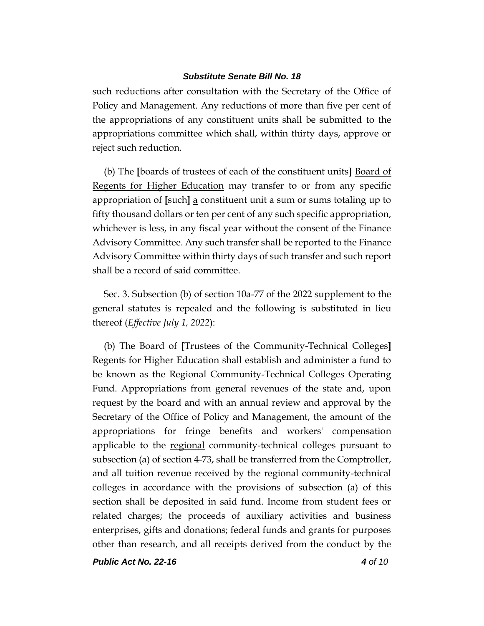such reductions after consultation with the Secretary of the Office of Policy and Management. Any reductions of more than five per cent of the appropriations of any constituent units shall be submitted to the appropriations committee which shall, within thirty days, approve or reject such reduction.

(b) The **[**boards of trustees of each of the constituent units**]** Board of Regents for Higher Education may transfer to or from any specific appropriation of **[**such**]** a constituent unit a sum or sums totaling up to fifty thousand dollars or ten per cent of any such specific appropriation, whichever is less, in any fiscal year without the consent of the Finance Advisory Committee. Any such transfer shall be reported to the Finance Advisory Committee within thirty days of such transfer and such report shall be a record of said committee.

Sec. 3. Subsection (b) of section 10a-77 of the 2022 supplement to the general statutes is repealed and the following is substituted in lieu thereof (*Effective July 1, 2022*):

(b) The Board of **[**Trustees of the Community-Technical Colleges**]** Regents for Higher Education shall establish and administer a fund to be known as the Regional Community-Technical Colleges Operating Fund. Appropriations from general revenues of the state and, upon request by the board and with an annual review and approval by the Secretary of the Office of Policy and Management, the amount of the appropriations for fringe benefits and workers' compensation applicable to the regional community-technical colleges pursuant to subsection (a) of section 4-73, shall be transferred from the Comptroller, and all tuition revenue received by the regional community-technical colleges in accordance with the provisions of subsection (a) of this section shall be deposited in said fund. Income from student fees or related charges; the proceeds of auxiliary activities and business enterprises, gifts and donations; federal funds and grants for purposes other than research, and all receipts derived from the conduct by the

*Public Act No. 22-16 4 of 10*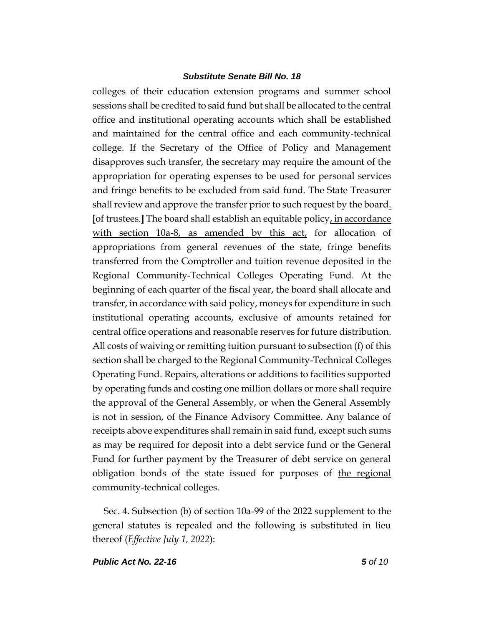colleges of their education extension programs and summer school sessions shall be credited to said fund but shall be allocated to the central office and institutional operating accounts which shall be established and maintained for the central office and each community-technical college. If the Secretary of the Office of Policy and Management disapproves such transfer, the secretary may require the amount of the appropriation for operating expenses to be used for personal services and fringe benefits to be excluded from said fund. The State Treasurer shall review and approve the transfer prior to such request by the board. **[**of trustees.**]** The board shall establish an equitable policy, in accordance with section 10a-8, as amended by this act, for allocation of appropriations from general revenues of the state, fringe benefits transferred from the Comptroller and tuition revenue deposited in the Regional Community-Technical Colleges Operating Fund. At the beginning of each quarter of the fiscal year, the board shall allocate and transfer, in accordance with said policy, moneys for expenditure in such institutional operating accounts, exclusive of amounts retained for central office operations and reasonable reserves for future distribution. All costs of waiving or remitting tuition pursuant to subsection (f) of this section shall be charged to the Regional Community-Technical Colleges Operating Fund. Repairs, alterations or additions to facilities supported by operating funds and costing one million dollars or more shall require the approval of the General Assembly, or when the General Assembly is not in session, of the Finance Advisory Committee. Any balance of receipts above expenditures shall remain in said fund, except such sums as may be required for deposit into a debt service fund or the General Fund for further payment by the Treasurer of debt service on general obligation bonds of the state issued for purposes of the regional community-technical colleges.

Sec. 4. Subsection (b) of section 10a-99 of the 2022 supplement to the general statutes is repealed and the following is substituted in lieu thereof (*Effective July 1, 2022*):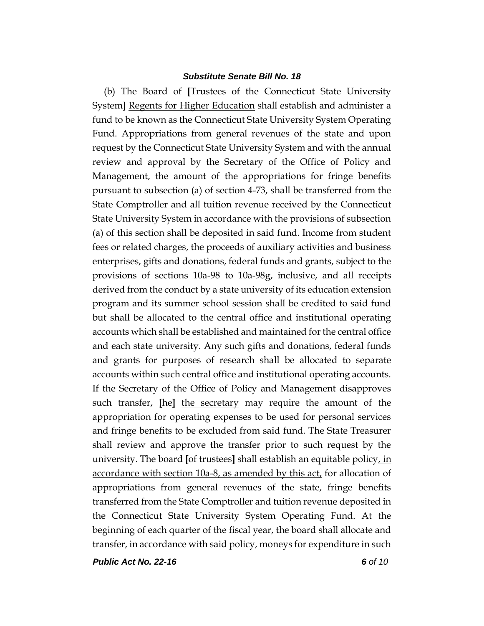(b) The Board of **[**Trustees of the Connecticut State University System**]** Regents for Higher Education shall establish and administer a fund to be known as the Connecticut State University System Operating Fund. Appropriations from general revenues of the state and upon request by the Connecticut State University System and with the annual review and approval by the Secretary of the Office of Policy and Management, the amount of the appropriations for fringe benefits pursuant to subsection (a) of section 4-73, shall be transferred from the State Comptroller and all tuition revenue received by the Connecticut State University System in accordance with the provisions of subsection (a) of this section shall be deposited in said fund. Income from student fees or related charges, the proceeds of auxiliary activities and business enterprises, gifts and donations, federal funds and grants, subject to the provisions of sections 10a-98 to 10a-98g, inclusive, and all receipts derived from the conduct by a state university of its education extension program and its summer school session shall be credited to said fund but shall be allocated to the central office and institutional operating accounts which shall be established and maintained for the central office and each state university. Any such gifts and donations, federal funds and grants for purposes of research shall be allocated to separate accounts within such central office and institutional operating accounts. If the Secretary of the Office of Policy and Management disapproves such transfer, **[**he**]** the secretary may require the amount of the appropriation for operating expenses to be used for personal services and fringe benefits to be excluded from said fund. The State Treasurer shall review and approve the transfer prior to such request by the university. The board **[**of trustees**]** shall establish an equitable policy, in accordance with section 10a-8, as amended by this  $act<sub>t</sub>$  for allocation of appropriations from general revenues of the state, fringe benefits transferred from the State Comptroller and tuition revenue deposited in the Connecticut State University System Operating Fund. At the beginning of each quarter of the fiscal year, the board shall allocate and transfer, in accordance with said policy, moneys for expenditure in such

*Public Act No. 22-16 6 of 10*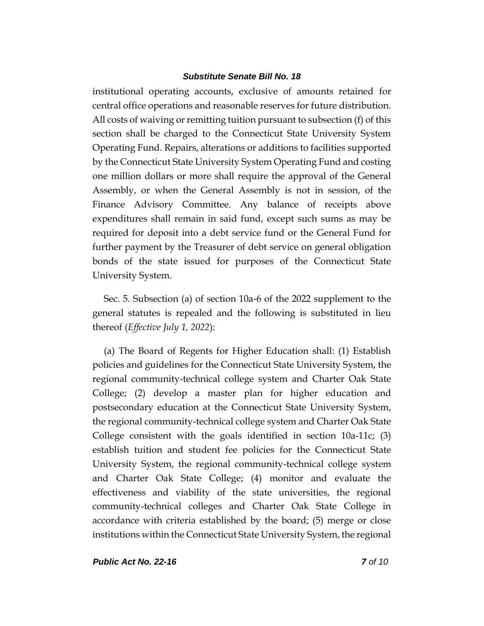institutional operating accounts, exclusive of amounts retained for central office operations and reasonable reserves for future distribution. All costs of waiving or remitting tuition pursuant to subsection (f) of this section shall be charged to the Connecticut State University System Operating Fund. Repairs, alterations or additions to facilities supported by the Connecticut State University System Operating Fund and costing one million dollars or more shall require the approval of the General Assembly, or when the General Assembly is not in session, of the Finance Advisory Committee. Any balance of receipts above expenditures shall remain in said fund, except such sums as may be required for deposit into a debt service fund or the General Fund for further payment by the Treasurer of debt service on general obligation bonds of the state issued for purposes of the Connecticut State University System.

Sec. 5. Subsection (a) of section 10a-6 of the 2022 supplement to the general statutes is repealed and the following is substituted in lieu thereof (*Effective July 1, 2022*):

(a) The Board of Regents for Higher Education shall: (1) Establish policies and guidelines for the Connecticut State University System, the regional community-technical college system and Charter Oak State College; (2) develop a master plan for higher education and postsecondary education at the Connecticut State University System, the regional community-technical college system and Charter Oak State College consistent with the goals identified in section 10a-11c; (3) establish tuition and student fee policies for the Connecticut State University System, the regional community-technical college system and Charter Oak State College; (4) monitor and evaluate the effectiveness and viability of the state universities, the regional community-technical colleges and Charter Oak State College in accordance with criteria established by the board; (5) merge or close institutions within the Connecticut State University System, the regional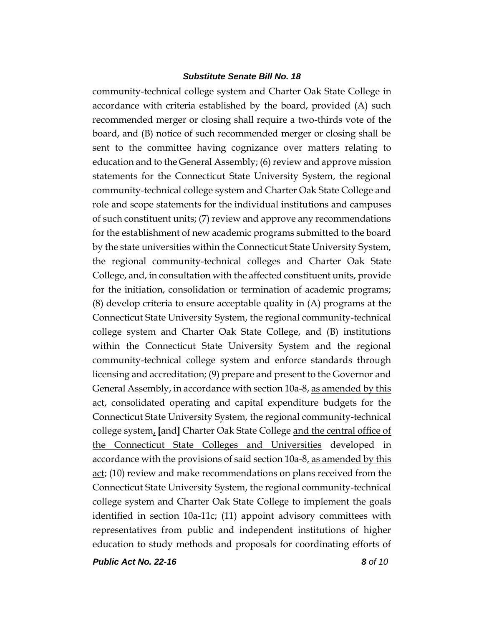community-technical college system and Charter Oak State College in accordance with criteria established by the board, provided (A) such recommended merger or closing shall require a two-thirds vote of the board, and (B) notice of such recommended merger or closing shall be sent to the committee having cognizance over matters relating to education and to the General Assembly; (6) review and approve mission statements for the Connecticut State University System, the regional community-technical college system and Charter Oak State College and role and scope statements for the individual institutions and campuses of such constituent units; (7) review and approve any recommendations for the establishment of new academic programs submitted to the board by the state universities within the Connecticut State University System, the regional community-technical colleges and Charter Oak State College, and, in consultation with the affected constituent units, provide for the initiation, consolidation or termination of academic programs; (8) develop criteria to ensure acceptable quality in (A) programs at the Connecticut State University System, the regional community-technical college system and Charter Oak State College, and (B) institutions within the Connecticut State University System and the regional community-technical college system and enforce standards through licensing and accreditation; (9) prepare and present to the Governor and General Assembly, in accordance with section 10a-8, as amended by this act, consolidated operating and capital expenditure budgets for the Connecticut State University System, the regional community-technical college system, **[**and**]** Charter Oak State College and the central office of the Connecticut State Colleges and Universities developed in accordance with the provisions of said section 10a-8, as amended by this act; (10) review and make recommendations on plans received from the Connecticut State University System, the regional community-technical college system and Charter Oak State College to implement the goals identified in section 10a-11c; (11) appoint advisory committees with representatives from public and independent institutions of higher education to study methods and proposals for coordinating efforts of

*Public Act No. 22-16 8 of 10*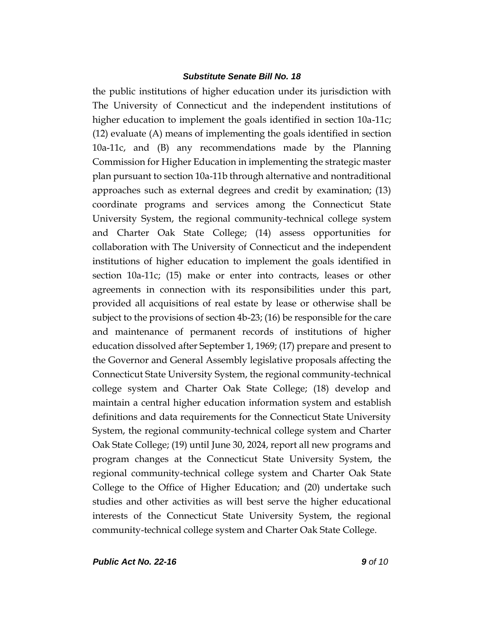the public institutions of higher education under its jurisdiction with The University of Connecticut and the independent institutions of higher education to implement the goals identified in section 10a-11c; (12) evaluate (A) means of implementing the goals identified in section 10a-11c, and (B) any recommendations made by the Planning Commission for Higher Education in implementing the strategic master plan pursuant to section 10a-11b through alternative and nontraditional approaches such as external degrees and credit by examination; (13) coordinate programs and services among the Connecticut State University System, the regional community-technical college system and Charter Oak State College; (14) assess opportunities for collaboration with The University of Connecticut and the independent institutions of higher education to implement the goals identified in section 10a-11c; (15) make or enter into contracts, leases or other agreements in connection with its responsibilities under this part, provided all acquisitions of real estate by lease or otherwise shall be subject to the provisions of section 4b-23; (16) be responsible for the care and maintenance of permanent records of institutions of higher education dissolved after September 1, 1969; (17) prepare and present to the Governor and General Assembly legislative proposals affecting the Connecticut State University System, the regional community-technical college system and Charter Oak State College; (18) develop and maintain a central higher education information system and establish definitions and data requirements for the Connecticut State University System, the regional community-technical college system and Charter Oak State College; (19) until June 30, 2024, report all new programs and program changes at the Connecticut State University System, the regional community-technical college system and Charter Oak State College to the Office of Higher Education; and (20) undertake such studies and other activities as will best serve the higher educational interests of the Connecticut State University System, the regional community-technical college system and Charter Oak State College.